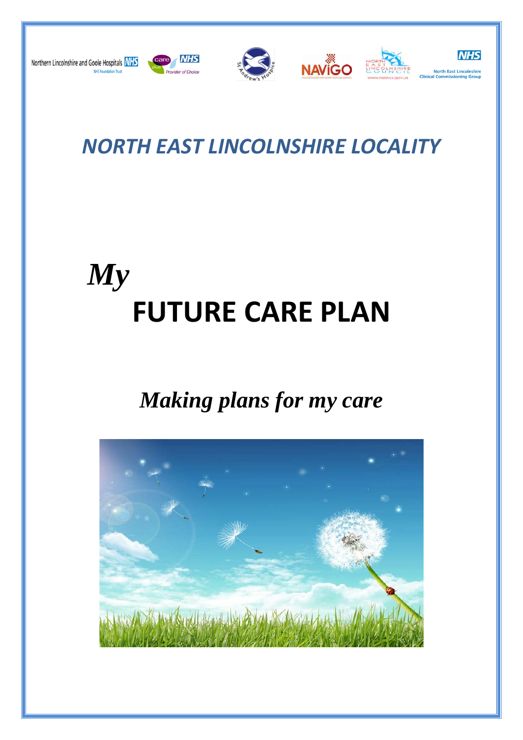

## *NORTH EAST LINCOLNSHIRE LOCALITY*

# *My* **FUTURE CARE PLAN**

# *Making plans for my care*

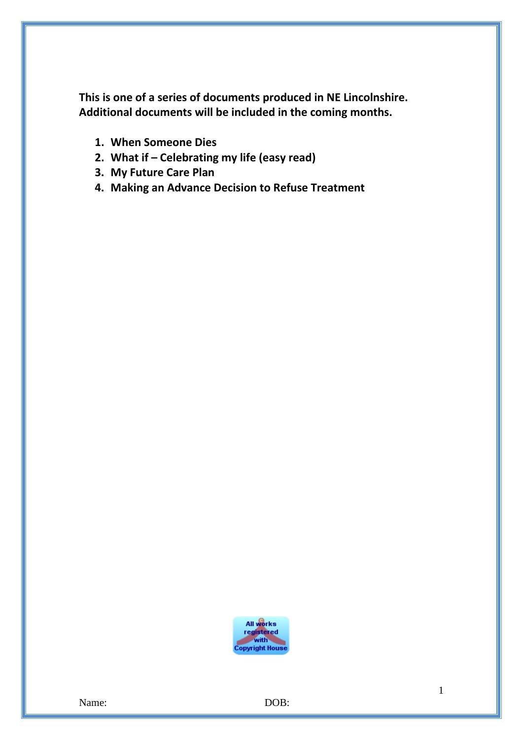**This is one of a series of documents produced in NE Lincolnshire. Additional documents will be included in the coming months.**

- **1. When Someone Dies**
- **2. What if – Celebrating my life (easy read)**
- **3. My Future Care Plan**
- **4. Making an Advance Decision to Refuse Treatment**

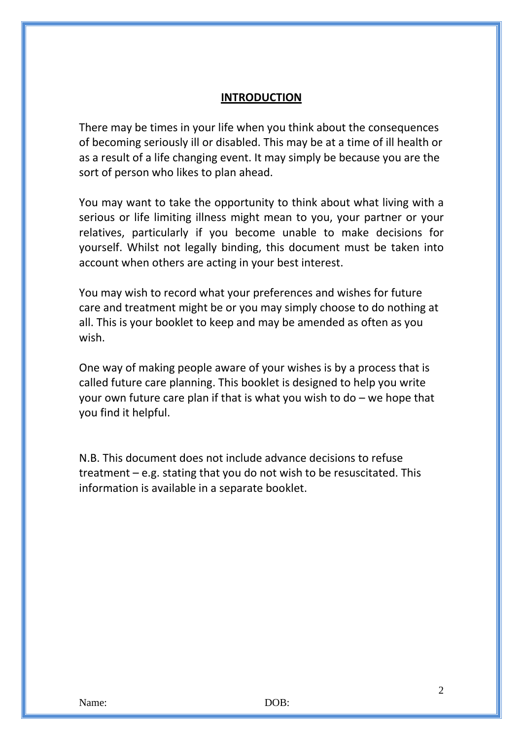#### **INTRODUCTION**

There may be times in your life when you think about the consequences of becoming seriously ill or disabled. This may be at a time of ill health or as a result of a life changing event. It may simply be because you are the sort of person who likes to plan ahead.

You may want to take the opportunity to think about what living with a serious or life limiting illness might mean to you, your partner or your relatives, particularly if you become unable to make decisions for yourself. Whilst not legally binding, this document must be taken into account when others are acting in your best interest.

You may wish to record what your preferences and wishes for future care and treatment might be or you may simply choose to do nothing at all. This is your booklet to keep and may be amended as often as you wish.

One way of making people aware of your wishes is by a process that is called future care planning. This booklet is designed to help you write your own future care plan if that is what you wish to do – we hope that you find it helpful.

N.B. This document does not include advance decisions to refuse treatment – e.g. stating that you do not wish to be resuscitated. This information is available in a separate booklet.

2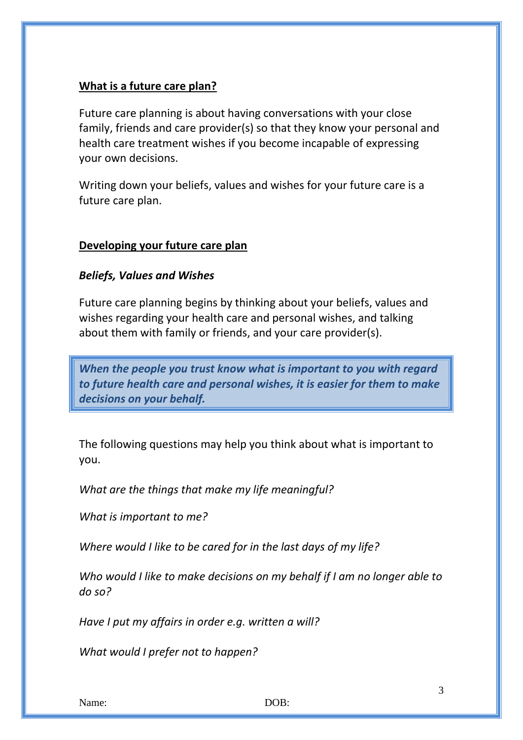#### **What is a future care plan?**

Future care planning is about having conversations with your close family, friends and care provider(s) so that they know your personal and health care treatment wishes if you become incapable of expressing your own decisions.

Writing down your beliefs, values and wishes for your future care is a future care plan.

#### **Developing your future care plan**

#### *Beliefs, Values and Wishes*

Future care planning begins by thinking about your beliefs, values and wishes regarding your health care and personal wishes, and talking about them with family or friends, and your care provider(s).

*When the people you trust know what is important to you with regard to future health care and personal wishes, it is easier for them to make decisions on your behalf.*

The following questions may help you think about what is important to you.

*What are the things that make my life meaningful?*

*What is important to me?*

*Where would I like to be cared for in the last days of my life?*

*Who would I like to make decisions on my behalf if I am no longer able to do so?*

*Have I put my affairs in order e.g. written a will?*

*What would I prefer not to happen?*

Name: DOB: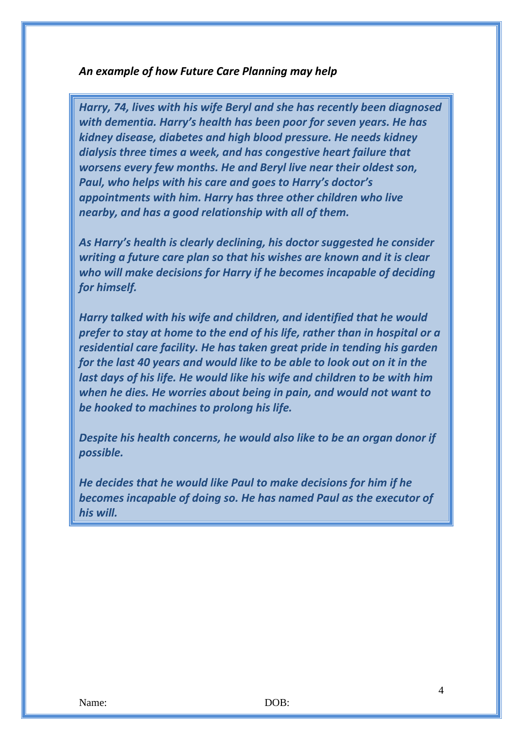#### *An example of how Future Care Planning may help*

*Harry, 74, lives with his wife Beryl and she has recently been diagnosed with dementia. Harry's health has been poor for seven years. He has kidney disease, diabetes and high blood pressure. He needs kidney dialysis three times a week, and has congestive heart failure that worsens every few months. He and Beryl live near their oldest son, Paul, who helps with his care and goes to Harry's doctor's appointments with him. Harry has three other children who live nearby, and has a good relationship with all of them.* 

*As Harry's health is clearly declining, his doctor suggested he consider writing a future care plan so that his wishes are known and it is clear who will make decisions for Harry if he becomes incapable of deciding for himself.* 

*Harry talked with his wife and children, and identified that he would prefer to stay at home to the end of his life, rather than in hospital or a residential care facility. He has taken great pride in tending his garden for the last 40 years and would like to be able to look out on it in the last days of his life. He would like his wife and children to be with him when he dies. He worries about being in pain, and would not want to be hooked to machines to prolong his life.* 

*Despite his health concerns, he would also like to be an organ donor if possible.* 

*He decides that he would like Paul to make decisions for him if he becomes incapable of doing so. He has named Paul as the executor of his will.*

4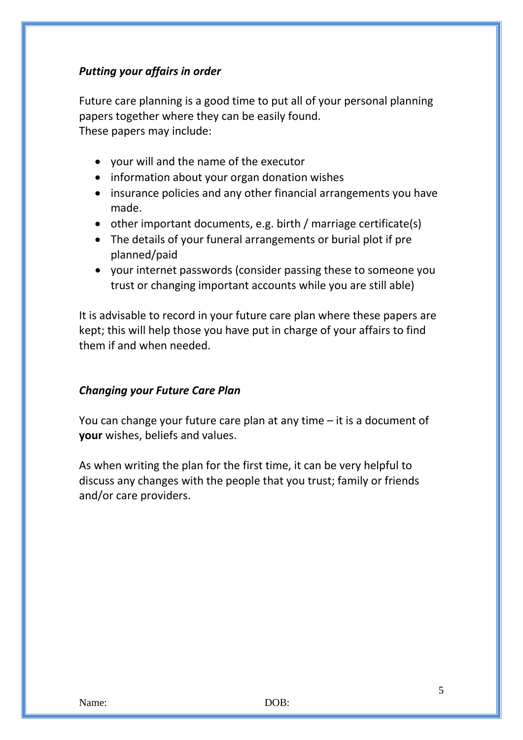#### *Putting your affairs in order*

Future care planning is a good time to put all of your personal planning papers together where they can be easily found. These papers may include:

- your will and the name of the executor
- information about your organ donation wishes
- insurance policies and any other financial arrangements you have made.
- other important documents, e.g. birth / marriage certificate(s)
- The details of your funeral arrangements or burial plot if pre planned/paid
- your internet passwords (consider passing these to someone you trust or changing important accounts while you are still able)

It is advisable to record in your future care plan where these papers are kept; this will help those you have put in charge of your affairs to find them if and when needed.

#### *Changing your Future Care Plan*

You can change your future care plan at any time – it is a document of **your** wishes, beliefs and values.

As when writing the plan for the first time, it can be very helpful to discuss any changes with the people that you trust; family or friends and/or care providers.

5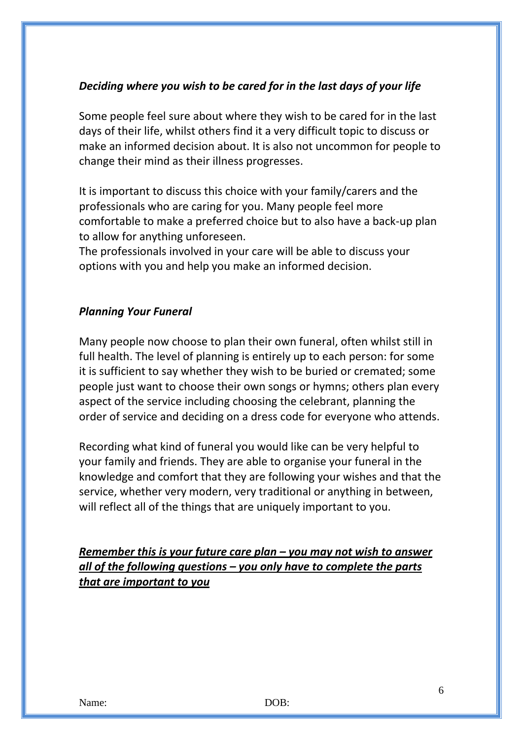#### *Deciding where you wish to be cared for in the last days of your life*

Some people feel sure about where they wish to be cared for in the last days of their life, whilst others find it a very difficult topic to discuss or make an informed decision about. It is also not uncommon for people to change their mind as their illness progresses.

It is important to discuss this choice with your family/carers and the professionals who are caring for you. Many people feel more comfortable to make a preferred choice but to also have a back-up plan to allow for anything unforeseen.

The professionals involved in your care will be able to discuss your options with you and help you make an informed decision.

#### *Planning Your Funeral*

Many people now choose to plan their own funeral, often whilst still in full health. The level of planning is entirely up to each person: for some it is sufficient to say whether they wish to be buried or cremated; some people just want to choose their own songs or hymns; others plan every aspect of the service including choosing the celebrant, planning the order of service and deciding on a dress code for everyone who attends.

Recording what kind of funeral you would like can be very helpful to your family and friends. They are able to organise your funeral in the knowledge and comfort that they are following your wishes and that the service, whether very modern, very traditional or anything in between, will reflect all of the things that are uniquely important to you.

*Remember this is your future care plan – you may not wish to answer all of the following questions – you only have to complete the parts that are important to you*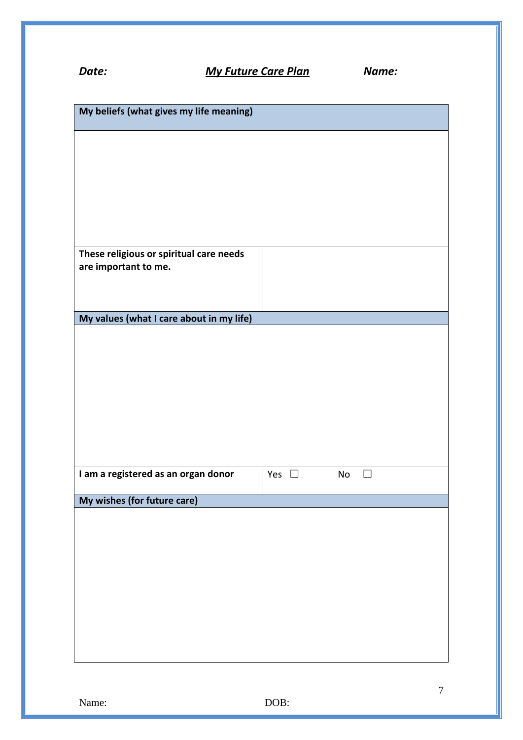*Date: My Future Care Plan Name:*

| My beliefs (what gives my life meaning)                         |               |    |  |
|-----------------------------------------------------------------|---------------|----|--|
|                                                                 |               |    |  |
|                                                                 |               |    |  |
|                                                                 |               |    |  |
|                                                                 |               |    |  |
|                                                                 |               |    |  |
| These religious or spiritual care needs<br>are important to me. |               |    |  |
|                                                                 |               |    |  |
|                                                                 |               |    |  |
| My values (what I care about in my life)                        |               |    |  |
|                                                                 |               |    |  |
|                                                                 |               |    |  |
|                                                                 |               |    |  |
|                                                                 |               |    |  |
|                                                                 |               |    |  |
|                                                                 |               |    |  |
| I am a registered as an organ donor                             | Yes $\square$ | No |  |
| My wishes (for future care)                                     |               |    |  |
|                                                                 |               |    |  |
|                                                                 |               |    |  |
|                                                                 |               |    |  |
|                                                                 |               |    |  |
|                                                                 |               |    |  |
|                                                                 |               |    |  |
|                                                                 |               |    |  |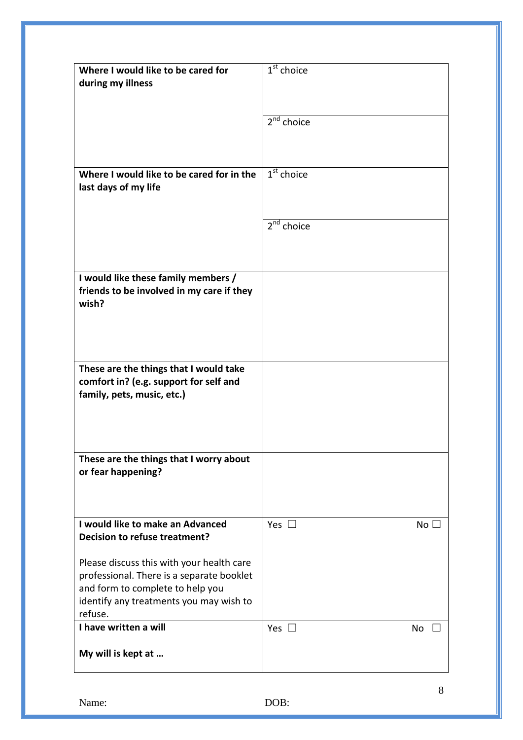|                                           | $1st$ choice          |
|-------------------------------------------|-----------------------|
| Where I would like to be cared for        |                       |
| during my illness                         |                       |
|                                           |                       |
|                                           |                       |
|                                           | $2nd$ choice          |
|                                           |                       |
|                                           |                       |
|                                           |                       |
|                                           |                       |
| Where I would like to be cared for in the | $1st$ choice          |
| last days of my life                      |                       |
|                                           |                       |
|                                           |                       |
|                                           |                       |
|                                           | $2nd$ choice          |
|                                           |                       |
|                                           |                       |
|                                           |                       |
|                                           |                       |
| I would like these family members /       |                       |
| friends to be involved in my care if they |                       |
| wish?                                     |                       |
|                                           |                       |
|                                           |                       |
|                                           |                       |
|                                           |                       |
|                                           |                       |
| These are the things that I would take    |                       |
| comfort in? (e.g. support for self and    |                       |
| family, pets, music, etc.)                |                       |
|                                           |                       |
|                                           |                       |
|                                           |                       |
|                                           |                       |
|                                           |                       |
| These are the things that I worry about   |                       |
| or fear happening?                        |                       |
|                                           |                       |
|                                           |                       |
|                                           |                       |
|                                           |                       |
| I would like to make an Advanced          | Yes $\square$<br>No l |
| Decision to refuse treatment?             |                       |
|                                           |                       |
| Please discuss this with your health care |                       |
| professional. There is a separate booklet |                       |
| and form to complete to help you          |                       |
|                                           |                       |
| identify any treatments you may wish to   |                       |
| refuse.                                   |                       |
| I have written a will                     | Yes $\square$<br>No   |
|                                           |                       |
| My will is kept at                        |                       |
|                                           |                       |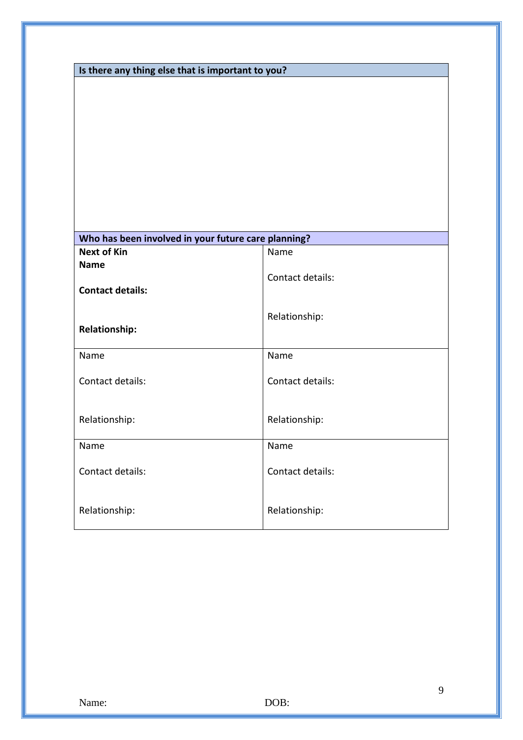| Is there any thing else that is important to you?   |                  |  |
|-----------------------------------------------------|------------------|--|
|                                                     |                  |  |
|                                                     |                  |  |
|                                                     |                  |  |
|                                                     |                  |  |
|                                                     |                  |  |
|                                                     |                  |  |
|                                                     |                  |  |
|                                                     |                  |  |
|                                                     |                  |  |
| Who has been involved in your future care planning? |                  |  |
| <b>Next of Kin</b>                                  | Name             |  |
| <b>Name</b>                                         |                  |  |
| <b>Contact details:</b>                             | Contact details: |  |
|                                                     |                  |  |
|                                                     | Relationship:    |  |
| <b>Relationship:</b>                                |                  |  |
| Name                                                | Name             |  |
| Contact details:                                    | Contact details: |  |
|                                                     |                  |  |
|                                                     |                  |  |
| Relationship:                                       | Relationship:    |  |
| Name                                                | Name             |  |
|                                                     |                  |  |
| Contact details:                                    | Contact details: |  |
|                                                     |                  |  |
| Relationship:                                       | Relationship:    |  |
|                                                     |                  |  |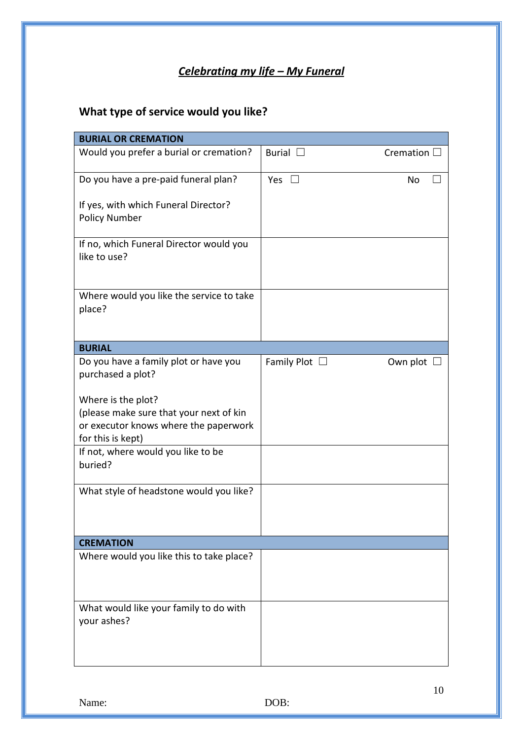## *Celebrating my life – My Funeral*

### **What type of service would you like?**

| <b>BURIAL OR CREMATION</b>                                                                                                                                                                                                      |                  |                     |
|---------------------------------------------------------------------------------------------------------------------------------------------------------------------------------------------------------------------------------|------------------|---------------------|
| Would you prefer a burial or cremation?                                                                                                                                                                                         | Burial $\square$ | Cremation $\square$ |
| Do you have a pre-paid funeral plan?                                                                                                                                                                                            | Yes $\square$    | <b>No</b>           |
| If yes, with which Funeral Director?<br><b>Policy Number</b>                                                                                                                                                                    |                  |                     |
| If no, which Funeral Director would you<br>like to use?                                                                                                                                                                         |                  |                     |
| Where would you like the service to take<br>place?                                                                                                                                                                              |                  |                     |
| <b>BURIAL</b>                                                                                                                                                                                                                   |                  |                     |
| Do you have a family plot or have you<br>purchased a plot?<br>Where is the plot?<br>(please make sure that your next of kin<br>or executor knows where the paperwork<br>for this is kept)<br>If not, where would you like to be | Family Plot □    | Own plot $\Box$     |
| buried?                                                                                                                                                                                                                         |                  |                     |
| What style of headstone would you like?                                                                                                                                                                                         |                  |                     |
| <b>CREMATION</b>                                                                                                                                                                                                                |                  |                     |
| Where would you like this to take place?                                                                                                                                                                                        |                  |                     |
| What would like your family to do with<br>your ashes?                                                                                                                                                                           |                  |                     |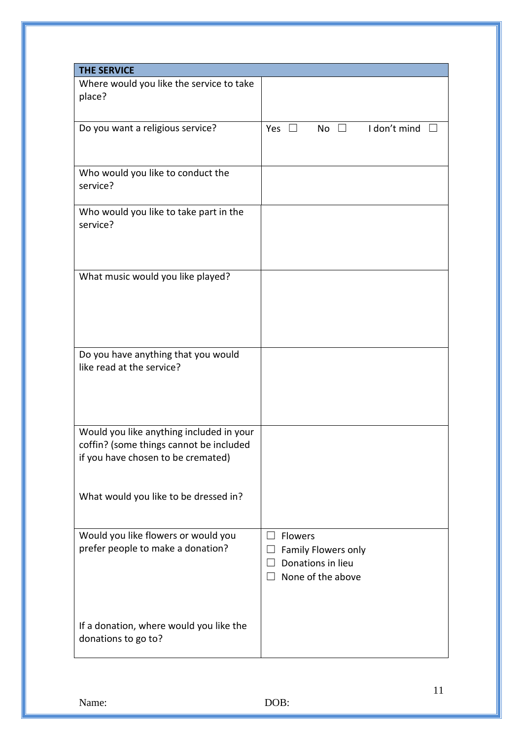| <b>THE SERVICE</b>                                                                                                        |                                                                          |
|---------------------------------------------------------------------------------------------------------------------------|--------------------------------------------------------------------------|
| Where would you like the service to take<br>place?                                                                        |                                                                          |
| Do you want a religious service?                                                                                          | I don't mind<br>Yes $\square$<br>No $\square$                            |
| Who would you like to conduct the<br>service?                                                                             |                                                                          |
| Who would you like to take part in the<br>service?                                                                        |                                                                          |
| What music would you like played?                                                                                         |                                                                          |
| Do you have anything that you would<br>like read at the service?                                                          |                                                                          |
| Would you like anything included in your<br>coffin? (some things cannot be included<br>if you have chosen to be cremated) |                                                                          |
| What would you like to be dressed in?                                                                                     |                                                                          |
| Would you like flowers or would you<br>prefer people to make a donation?                                                  | Flowers<br>Family Flowers only<br>Donations in lieu<br>None of the above |
| If a donation, where would you like the<br>donations to go to?                                                            |                                                                          |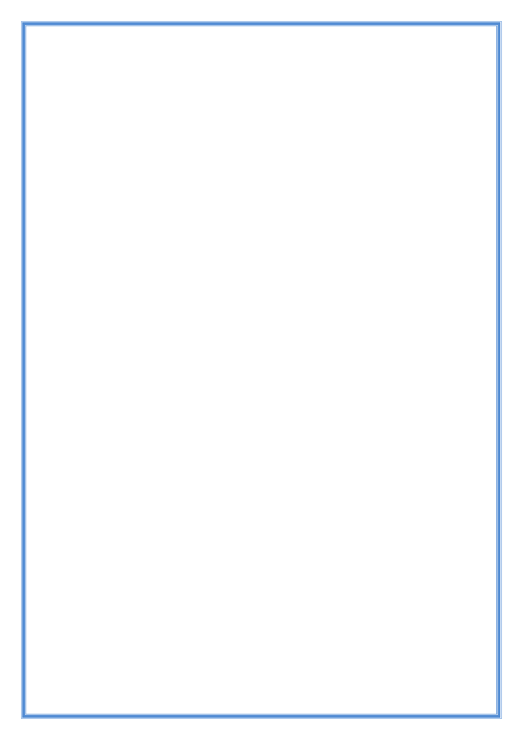